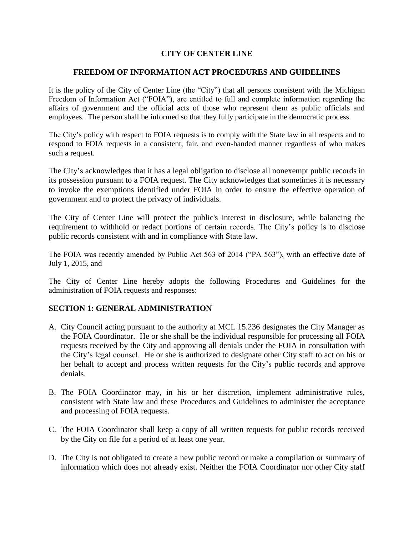#### **CITY OF CENTER LINE**

#### **FREEDOM OF INFORMATION ACT PROCEDURES AND GUIDELINES**

It is the policy of the City of Center Line (the "City") that all persons consistent with the Michigan Freedom of Information Act ("FOIA"), are entitled to full and complete information regarding the affairs of government and the official acts of those who represent them as public officials and employees. The person shall be informed so that they fully participate in the democratic process.

The City's policy with respect to FOIA requests is to comply with the State law in all respects and to respond to FOIA requests in a consistent, fair, and even-handed manner regardless of who makes such a request.

The City's acknowledges that it has a legal obligation to disclose all nonexempt public records in its possession pursuant to a FOIA request. The City acknowledges that sometimes it is necessary to invoke the exemptions identified under FOIA in order to ensure the effective operation of government and to protect the privacy of individuals.

The City of Center Line will protect the public's interest in disclosure, while balancing the requirement to withhold or redact portions of certain records. The City's policy is to disclose public records consistent with and in compliance with State law.

The FOIA was recently amended by Public Act 563 of 2014 ("PA 563"), with an effective date of July 1, 2015, and

The City of Center Line hereby adopts the following Procedures and Guidelines for the administration of FOIA requests and responses:

#### **SECTION 1: GENERAL ADMINISTRATION**

- A. City Council acting pursuant to the authority at MCL 15.236 designates the City Manager as the FOIA Coordinator. He or she shall be the individual responsible for processing all FOIA requests received by the City and approving all denials under the FOIA in consultation with the City's legal counsel. He or she is authorized to designate other City staff to act on his or her behalf to accept and process written requests for the City's public records and approve denials.
- B. The FOIA Coordinator may, in his or her discretion, implement administrative rules, consistent with State law and these Procedures and Guidelines to administer the acceptance and processing of FOIA requests.
- C. The FOIA Coordinator shall keep a copy of all written requests for public records received by the City on file for a period of at least one year.
- D. The City is not obligated to create a new public record or make a compilation or summary of information which does not already exist. Neither the FOIA Coordinator nor other City staff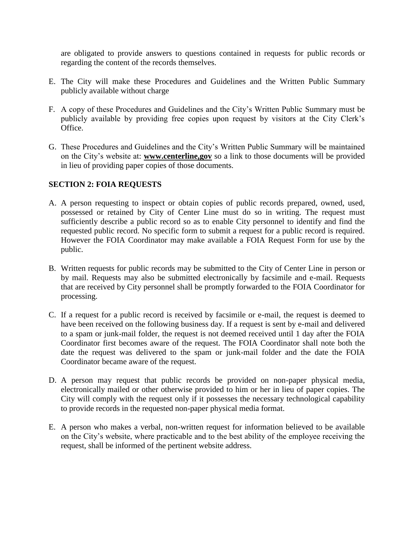are obligated to provide answers to questions contained in requests for public records or regarding the content of the records themselves.

- E. The City will make these Procedures and Guidelines and the Written Public Summary publicly available without charge
- F. A copy of these Procedures and Guidelines and the City's Written Public Summary must be publicly available by providing free copies upon request by visitors at the City Clerk's Office.
- G. These Procedures and Guidelines and the City's Written Public Summary will be maintained on the City's website at: **www.centerline,gov** so a link to those documents will be provided in lieu of providing paper copies of those documents.

## **SECTION 2: FOIA REQUESTS**

- A. A person requesting to inspect or obtain copies of public records prepared, owned, used, possessed or retained by City of Center Line must do so in writing. The request must sufficiently describe a public record so as to enable City personnel to identify and find the requested public record. No specific form to submit a request for a public record is required. However the FOIA Coordinator may make available a FOIA Request Form for use by the public.
- B. Written requests for public records may be submitted to the City of Center Line in person or by mail. Requests may also be submitted electronically by facsimile and e-mail. Requests that are received by City personnel shall be promptly forwarded to the FOIA Coordinator for processing.
- C. If a request for a public record is received by facsimile or e-mail, the request is deemed to have been received on the following business day. If a request is sent by e-mail and delivered to a spam or junk-mail folder, the request is not deemed received until 1 day after the FOIA Coordinator first becomes aware of the request. The FOIA Coordinator shall note both the date the request was delivered to the spam or junk-mail folder and the date the FOIA Coordinator became aware of the request.
- D. A person may request that public records be provided on non-paper physical media, electronically mailed or other otherwise provided to him or her in lieu of paper copies. The City will comply with the request only if it possesses the necessary technological capability to provide records in the requested non-paper physical media format.
- E. A person who makes a verbal, non-written request for information believed to be available on the City's website, where practicable and to the best ability of the employee receiving the request, shall be informed of the pertinent website address.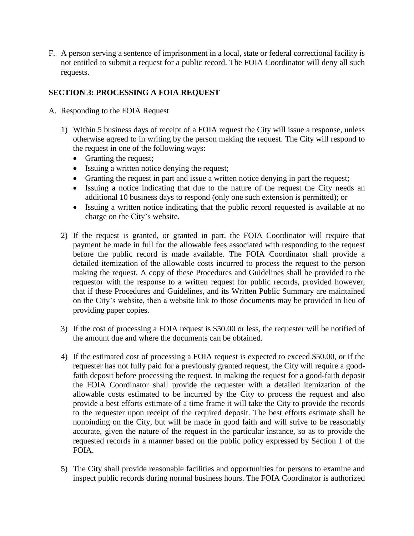F. A person serving a sentence of imprisonment in a local, state or federal correctional facility is not entitled to submit a request for a public record. The FOIA Coordinator will deny all such requests.

# **SECTION 3: PROCESSING A FOIA REQUEST**

- A. Responding to the FOIA Request
	- 1) Within 5 business days of receipt of a FOIA request the City will issue a response, unless otherwise agreed to in writing by the person making the request. The City will respond to the request in one of the following ways:
		- Granting the request;
		- Issuing a written notice denying the request;
		- Granting the request in part and issue a written notice denying in part the request;
		- Issuing a notice indicating that due to the nature of the request the City needs an additional 10 business days to respond (only one such extension is permitted); or
		- Issuing a written notice indicating that the public record requested is available at no charge on the City's website.
	- 2) If the request is granted, or granted in part, the FOIA Coordinator will require that payment be made in full for the allowable fees associated with responding to the request before the public record is made available. The FOIA Coordinator shall provide a detailed itemization of the allowable costs incurred to process the request to the person making the request. A copy of these Procedures and Guidelines shall be provided to the requestor with the response to a written request for public records, provided however, that if these Procedures and Guidelines, and its Written Public Summary are maintained on the City's website, then a website link to those documents may be provided in lieu of providing paper copies.
	- 3) If the cost of processing a FOIA request is \$50.00 or less, the requester will be notified of the amount due and where the documents can be obtained.
	- 4) If the estimated cost of processing a FOIA request is expected to exceed \$50.00, or if the requester has not fully paid for a previously granted request, the City will require a goodfaith deposit before processing the request. In making the request for a good-faith deposit the FOIA Coordinator shall provide the requester with a detailed itemization of the allowable costs estimated to be incurred by the City to process the request and also provide a best efforts estimate of a time frame it will take the City to provide the records to the requester upon receipt of the required deposit. The best efforts estimate shall be nonbinding on the City, but will be made in good faith and will strive to be reasonably accurate, given the nature of the request in the particular instance, so as to provide the requested records in a manner based on the public policy expressed by Section 1 of the FOIA.
	- 5) The City shall provide reasonable facilities and opportunities for persons to examine and inspect public records during normal business hours. The FOIA Coordinator is authorized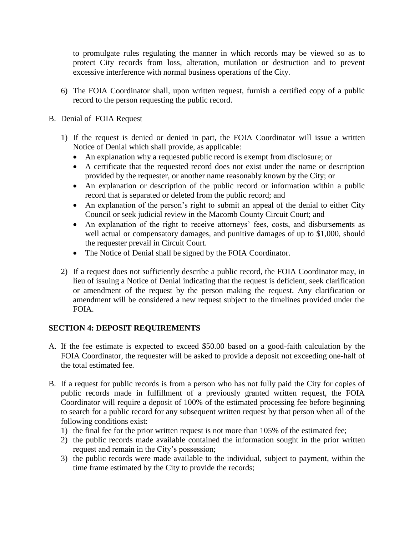to promulgate rules regulating the manner in which records may be viewed so as to protect City records from loss, alteration, mutilation or destruction and to prevent excessive interference with normal business operations of the City.

6) The FOIA Coordinator shall, upon written request, furnish a certified copy of a public record to the person requesting the public record.

#### B. Denial of FOIA Request

- 1) If the request is denied or denied in part, the FOIA Coordinator will issue a written Notice of Denial which shall provide, as applicable:
	- An explanation why a requested public record is exempt from disclosure; or
	- A certificate that the requested record does not exist under the name or description provided by the requester, or another name reasonably known by the City; or
	- An explanation or description of the public record or information within a public record that is separated or deleted from the public record; and
	- An explanation of the person's right to submit an appeal of the denial to either City Council or seek judicial review in the Macomb County Circuit Court; and
	- An explanation of the right to receive attorneys' fees, costs, and disbursements as well actual or compensatory damages, and punitive damages of up to \$1,000, should the requester prevail in Circuit Court.
	- The Notice of Denial shall be signed by the FOIA Coordinator.
- 2) If a request does not sufficiently describe a public record, the FOIA Coordinator may, in lieu of issuing a Notice of Denial indicating that the request is deficient, seek clarification or amendment of the request by the person making the request. Any clarification or amendment will be considered a new request subject to the timelines provided under the FOIA.

## **SECTION 4: DEPOSIT REQUIREMENTS**

- A. If the fee estimate is expected to exceed \$50.00 based on a good-faith calculation by the FOIA Coordinator, the requester will be asked to provide a deposit not exceeding one-half of the total estimated fee.
- B. If a request for public records is from a person who has not fully paid the City for copies of public records made in fulfillment of a previously granted written request, the FOIA Coordinator will require a deposit of 100% of the estimated processing fee before beginning to search for a public record for any subsequent written request by that person when all of the following conditions exist:
	- 1) the final fee for the prior written request is not more than 105% of the estimated fee;
	- 2) the public records made available contained the information sought in the prior written request and remain in the City's possession;
	- 3) the public records were made available to the individual, subject to payment, within the time frame estimated by the City to provide the records;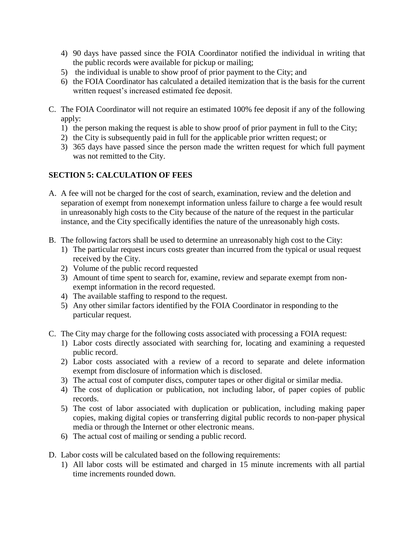- 4) 90 days have passed since the FOIA Coordinator notified the individual in writing that the public records were available for pickup or mailing;
- 5) the individual is unable to show proof of prior payment to the City; and
- 6) the FOIA Coordinator has calculated a detailed itemization that is the basis for the current written request's increased estimated fee deposit.
- C. The FOIA Coordinator will not require an estimated 100% fee deposit if any of the following apply:
	- 1) the person making the request is able to show proof of prior payment in full to the City;
	- 2) the City is subsequently paid in full for the applicable prior written request; or
	- 3) 365 days have passed since the person made the written request for which full payment was not remitted to the City.

## **SECTION 5: CALCULATION OF FEES**

- A. A fee will not be charged for the cost of search, examination, review and the deletion and separation of exempt from nonexempt information unless failure to charge a fee would result in unreasonably high costs to the City because of the nature of the request in the particular instance, and the City specifically identifies the nature of the unreasonably high costs.
- B. The following factors shall be used to determine an unreasonably high cost to the City:
	- 1) The particular request incurs costs greater than incurred from the typical or usual request received by the City.
	- 2) Volume of the public record requested
	- 3) Amount of time spent to search for, examine, review and separate exempt from nonexempt information in the record requested.
	- 4) The available staffing to respond to the request.
	- 5) Any other similar factors identified by the FOIA Coordinator in responding to the particular request.
- C. The City may charge for the following costs associated with processing a FOIA request:
	- 1) Labor costs directly associated with searching for, locating and examining a requested public record.
	- 2) Labor costs associated with a review of a record to separate and delete information exempt from disclosure of information which is disclosed.
	- 3) The actual cost of computer discs, computer tapes or other digital or similar media.
	- 4) The cost of duplication or publication, not including labor, of paper copies of public records.
	- 5) The cost of labor associated with duplication or publication, including making paper copies, making digital copies or transferring digital public records to non-paper physical media or through the Internet or other electronic means.
	- 6) The actual cost of mailing or sending a public record.
- D. Labor costs will be calculated based on the following requirements:
	- 1) All labor costs will be estimated and charged in 15 minute increments with all partial time increments rounded down.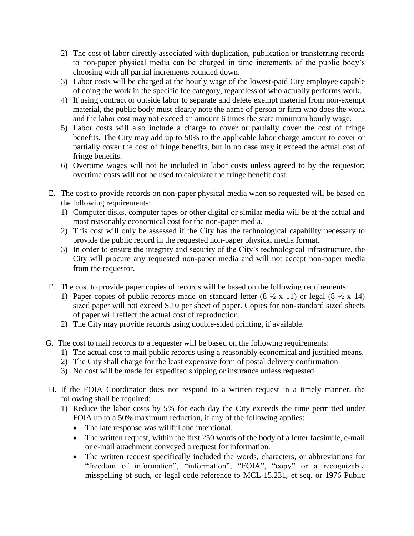- 2) The cost of labor directly associated with duplication, publication or transferring records to non-paper physical media can be charged in time increments of the public body's choosing with all partial increments rounded down.
- 3) Labor costs will be charged at the hourly wage of the lowest-paid City employee capable of doing the work in the specific fee category, regardless of who actually performs work.
- 4) If using contract or outside labor to separate and delete exempt material from non-exempt material, the public body must clearly note the name of person or firm who does the work and the labor cost may not exceed an amount 6 times the state minimum hourly wage.
- 5) Labor costs will also include a charge to cover or partially cover the cost of fringe benefits. The City may add up to 50% to the applicable labor charge amount to cover or partially cover the cost of fringe benefits, but in no case may it exceed the actual cost of fringe benefits.
- 6) Overtime wages will not be included in labor costs unless agreed to by the requestor; overtime costs will not be used to calculate the fringe benefit cost.
- E. The cost to provide records on non-paper physical media when so requested will be based on the following requirements:
	- 1) Computer disks, computer tapes or other digital or similar media will be at the actual and most reasonably economical cost for the non-paper media.
	- 2) This cost will only be assessed if the City has the technological capability necessary to provide the public record in the requested non-paper physical media format.
	- 3) In order to ensure the integrity and security of the City's technological infrastructure, the City will procure any requested non-paper media and will not accept non-paper media from the requestor.
- F. The cost to provide paper copies of records will be based on the following requirements:
	- 1) Paper copies of public records made on standard letter  $(8 \frac{1}{2} \times 11)$  or legal  $(8 \frac{1}{2} \times 14)$ sized paper will not exceed \$.10 per sheet of paper. Copies for non-standard sized sheets of paper will reflect the actual cost of reproduction.
	- 2) The City may provide records using double-sided printing, if available.
- G. The cost to mail records to a requester will be based on the following requirements:
	- 1) The actual cost to mail public records using a reasonably economical and justified means.
	- 2) The City shall charge for the least expensive form of postal delivery confirmation
	- 3) No cost will be made for expedited shipping or insurance unless requested.
- H. If the FOIA Coordinator does not respond to a written request in a timely manner, the following shall be required:
	- 1) Reduce the labor costs by 5% for each day the City exceeds the time permitted under FOIA up to a 50% maximum reduction, if any of the following applies:
		- The late response was willful and intentional.
		- The written request, within the first 250 words of the body of a letter facsimile, e-mail or e-mail attachment conveyed a request for information.
		- The written request specifically included the words, characters, or abbreviations for "freedom of information", "information", "FOIA", "copy" or a recognizable misspelling of such, or legal code reference to MCL 15.231, et seq. or 1976 Public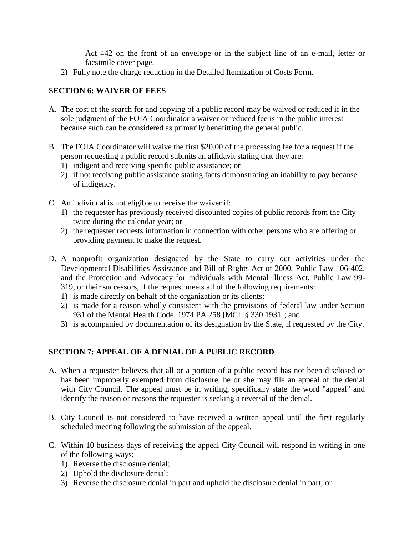Act 442 on the front of an envelope or in the subject line of an e-mail, letter or facsimile cover page.

2) Fully note the charge reduction in the Detailed Itemization of Costs Form.

## **SECTION 6: WAIVER OF FEES**

- A. The cost of the search for and copying of a public record may be waived or reduced if in the sole judgment of the FOIA Coordinator a waiver or reduced fee is in the public interest because such can be considered as primarily benefitting the general public.
- B. The FOIA Coordinator will waive the first \$20.00 of the processing fee for a request if the person requesting a public record submits an affidavit stating that they are:
	- 1) indigent and receiving specific public assistance; or
	- 2) if not receiving public assistance stating facts demonstrating an inability to pay because of indigency.
- C. An individual is not eligible to receive the waiver if:
	- 1) the requester has previously received discounted copies of public records from the City twice during the calendar year; or
	- 2) the requester requests information in connection with other persons who are offering or providing payment to make the request.
- D. A nonprofit organization designated by the State to carry out activities under the Developmental Disabilities Assistance and Bill of Rights Act of 2000, Public Law 106-402, and the Protection and Advocacy for Individuals with Mental Illness Act, Public Law 99- 319, or their successors, if the request meets all of the following requirements:
	- 1) is made directly on behalf of the organization or its clients;
	- 2) is made for a reason wholly consistent with the provisions of federal law under Section 931 of the Mental Health Code, 1974 PA 258 [MCL § 330.1931]; and
	- 3) is accompanied by documentation of its designation by the State, if requested by the City.

# **SECTION 7: APPEAL OF A DENIAL OF A PUBLIC RECORD**

- A. When a requester believes that all or a portion of a public record has not been disclosed or has been improperly exempted from disclosure, he or she may file an appeal of the denial with City Council. The appeal must be in writing, specifically state the word "appeal" and identify the reason or reasons the requester is seeking a reversal of the denial.
- B. City Council is not considered to have received a written appeal until the first regularly scheduled meeting following the submission of the appeal.
- C. Within 10 business days of receiving the appeal City Council will respond in writing in one of the following ways:
	- 1) Reverse the disclosure denial;
	- 2) Uphold the disclosure denial;
	- 3) Reverse the disclosure denial in part and uphold the disclosure denial in part; or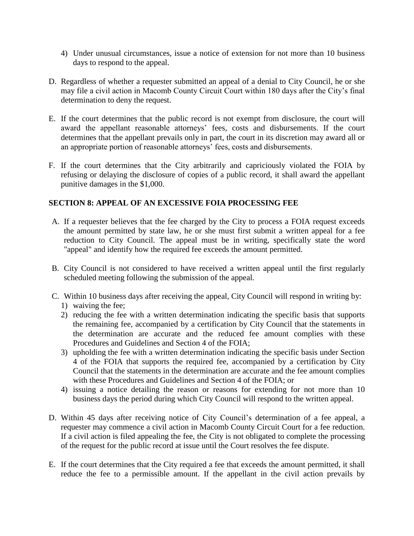- 4) Under unusual circumstances, issue a notice of extension for not more than 10 business days to respond to the appeal.
- D. Regardless of whether a requester submitted an appeal of a denial to City Council, he or she may file a civil action in Macomb County Circuit Court within 180 days after the City's final determination to deny the request.
- E. If the court determines that the public record is not exempt from disclosure, the court will award the appellant reasonable attorneys' fees, costs and disbursements. If the court determines that the appellant prevails only in part, the court in its discretion may award all or an appropriate portion of reasonable attorneys' fees, costs and disbursements.
- F. If the court determines that the City arbitrarily and capriciously violated the FOIA by refusing or delaying the disclosure of copies of a public record, it shall award the appellant punitive damages in the \$1,000.

## **SECTION 8: APPEAL OF AN EXCESSIVE FOIA PROCESSING FEE**

- A. If a requester believes that the fee charged by the City to process a FOIA request exceeds the amount permitted by state law, he or she must first submit a written appeal for a fee reduction to City Council. The appeal must be in writing, specifically state the word "appeal" and identify how the required fee exceeds the amount permitted.
- B. City Council is not considered to have received a written appeal until the first regularly scheduled meeting following the submission of the appeal.
- C. Within 10 business days after receiving the appeal, City Council will respond in writing by:
	- 1) waiving the fee;
	- 2) reducing the fee with a written determination indicating the specific basis that supports the remaining fee, accompanied by a certification by City Council that the statements in the determination are accurate and the reduced fee amount complies with these Procedures and Guidelines and Section 4 of the FOIA;
	- 3) upholding the fee with a written determination indicating the specific basis under Section 4 of the FOIA that supports the required fee, accompanied by a certification by City Council that the statements in the determination are accurate and the fee amount complies with these Procedures and Guidelines and Section 4 of the FOIA; or
	- 4) issuing a notice detailing the reason or reasons for extending for not more than 10 business days the period during which City Council will respond to the written appeal.
- D. Within 45 days after receiving notice of City Council's determination of a fee appeal, a requester may commence a civil action in Macomb County Circuit Court for a fee reduction. If a civil action is filed appealing the fee, the City is not obligated to complete the processing of the request for the public record at issue until the Court resolves the fee dispute.
- E. If the court determines that the City required a fee that exceeds the amount permitted, it shall reduce the fee to a permissible amount. If the appellant in the civil action prevails by